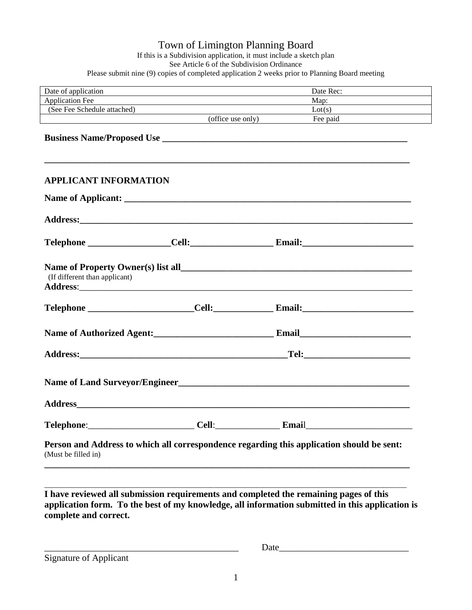## Town of Limington Planning Board If this is a Subdivision application, it must include a sketch plan See Article 6 of the Subdivision Ordinance Please submit nine (9) copies of completed application 2 weeks prior to Planning Board meeting

| <u> 1980 - Johann Harry Harry Harry Harry Harry Harry Harry Harry Harry Harry Harry Harry Harry Harry Harry Harry</u>                      | Date Rec:<br>Map: $\qquad \qquad$                                                         |
|--------------------------------------------------------------------------------------------------------------------------------------------|-------------------------------------------------------------------------------------------|
|                                                                                                                                            |                                                                                           |
|                                                                                                                                            | Lot(s)                                                                                    |
| (office use only)<br><u> 1989 - Johann Barbara, martin amerikan basal dan berasal dalam basal dalam basal dalam basal dalam basal dala</u> | Fee paid                                                                                  |
|                                                                                                                                            |                                                                                           |
|                                                                                                                                            |                                                                                           |
| <b>APPLICANT INFORMATION</b>                                                                                                               |                                                                                           |
|                                                                                                                                            |                                                                                           |
|                                                                                                                                            |                                                                                           |
|                                                                                                                                            |                                                                                           |
|                                                                                                                                            |                                                                                           |
|                                                                                                                                            |                                                                                           |
|                                                                                                                                            |                                                                                           |
|                                                                                                                                            |                                                                                           |
|                                                                                                                                            | Name of Land Surveyor/Engineer                                                            |
|                                                                                                                                            |                                                                                           |
| Cell:                                                                                                                                      | Email                                                                                     |
|                                                                                                                                            | Person and Address to which all correspondence regarding this application should be sent: |
|                                                                                                                                            |                                                                                           |

Signature of Applicant

\_\_\_\_\_\_\_\_\_\_\_\_\_\_\_\_\_\_\_\_\_\_\_\_\_\_\_\_\_\_\_\_\_\_\_\_\_\_\_\_\_\_ Date\_\_\_\_\_\_\_\_\_\_\_\_\_\_\_\_\_\_\_\_\_\_\_\_\_\_\_\_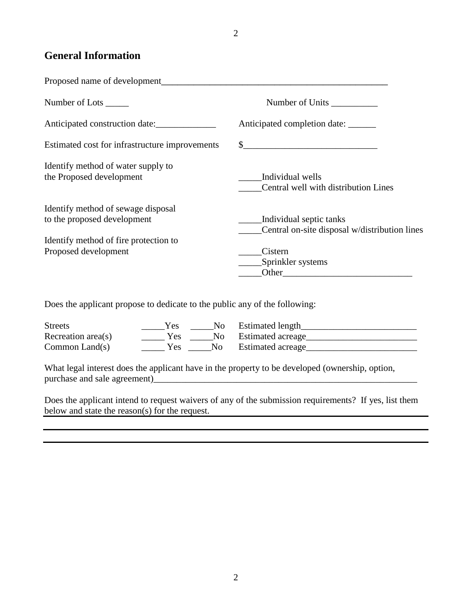## **General Information**

| Proposed name of development                                      |                                                                                                                                                                                                                                                                |
|-------------------------------------------------------------------|----------------------------------------------------------------------------------------------------------------------------------------------------------------------------------------------------------------------------------------------------------------|
| Number of Lots _______                                            |                                                                                                                                                                                                                                                                |
| Anticipated construction date:                                    | Anticipated completion date:                                                                                                                                                                                                                                   |
| Estimated cost for infrastructure improvements                    |                                                                                                                                                                                                                                                                |
| Identify method of water supply to<br>the Proposed development    | Individual wells<br>Central well with distribution Lines                                                                                                                                                                                                       |
| Identify method of sewage disposal<br>to the proposed development | Individual septic tanks<br>Central on-site disposal w/distribution lines                                                                                                                                                                                       |
| Identify method of fire protection to<br>Proposed development     | Cistern<br>Sprinkler systems<br>Other the contract of the contract of the contract of the contract of the contract of the contract of the contract of the contract of the contract of the contract of the contract of the contract of the contract of the cont |

Does the applicant propose to dedicate to the public any of the following:

| <b>Streets</b>     | <b>Yes</b> |     | No Estimated length  |
|--------------------|------------|-----|----------------------|
| Recreation area(s) | Yes        |     | No Estimated acreage |
| Common Land $(s)$  | Yes        | No. | Estimated acreage    |

What legal interest does the applicant have in the property to be developed (ownership, option, purchase and sale agreement)\_\_\_\_\_\_\_\_\_\_\_\_\_\_\_\_\_\_\_\_\_\_\_\_\_\_\_\_\_\_\_\_\_\_\_\_\_\_\_\_\_\_\_\_\_\_\_\_\_\_\_\_\_\_\_\_\_

Does the applicant intend to request waivers of any of the submission requirements? If yes, list them below and state the reason(s) for the request.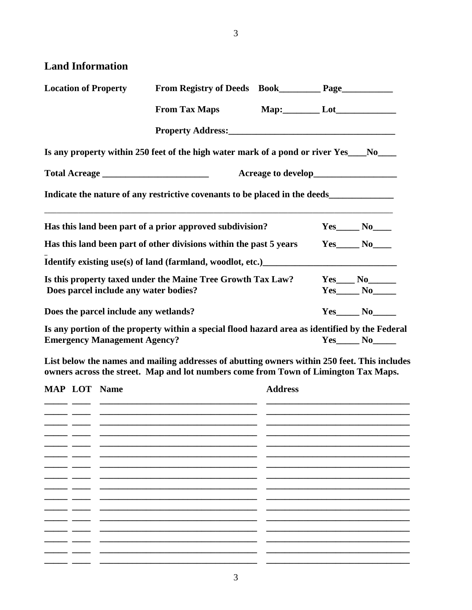3

## **Land Information**

| <b>Location of Property</b>                                        | From Registry of Deeds Book_____________ Page______________                                                                                                                                                                            |  |                        |
|--------------------------------------------------------------------|----------------------------------------------------------------------------------------------------------------------------------------------------------------------------------------------------------------------------------------|--|------------------------|
|                                                                    | From Tax Maps Map: Lot Lot                                                                                                                                                                                                             |  |                        |
|                                                                    |                                                                                                                                                                                                                                        |  |                        |
|                                                                    | Is any property within 250 feet of the high water mark of a pond or river Yes___No___                                                                                                                                                  |  |                        |
|                                                                    |                                                                                                                                                                                                                                        |  |                        |
|                                                                    | Indicate the nature of any restrictive covenants to be placed in the deeds__________________________                                                                                                                                   |  |                        |
|                                                                    | Has this land been part of a prior approved subdivision?                                                                                                                                                                               |  | $Yes$ $No$ $No$        |
| Has this land been part of other divisions within the past 5 years |                                                                                                                                                                                                                                        |  | $Yes$ $No$             |
|                                                                    | Identify existing use(s) of land (farmland, woodlot, etc.)<br><u>Letteran and the subset of the subset of the subset of the subset of the subset of the subset of the subset of the subset of the subset of the subset of the subs</u> |  |                        |
|                                                                    | Is this property taxed under the Maine Tree Growth Tax Law?                                                                                                                                                                            |  | $Yes$ No No            |
| Does parcel include any water bodies?                              |                                                                                                                                                                                                                                        |  | $Yes_$ $No_$           |
| Does the parcel include any wetlands?                              |                                                                                                                                                                                                                                        |  | $Yes \qquad No \qquad$ |
|                                                                    | Is any portion of the property within a special flood hazard area as identified by the Federal                                                                                                                                         |  |                        |

**Emergency Management Agency? Yes\_\_\_\_\_\_ No\_\_\_\_\_** 

**List below the names and mailing addresses of abutting owners within 250 feet. This includes owners across the street. Map and lot numbers come from Town of Limington Tax Maps.**

|  | <b>MAP LOT Name</b> | <b>Address</b> |
|--|---------------------|----------------|
|  |                     |                |
|  |                     |                |
|  |                     |                |
|  |                     |                |
|  |                     |                |
|  |                     |                |
|  |                     |                |
|  |                     |                |
|  |                     |                |
|  |                     |                |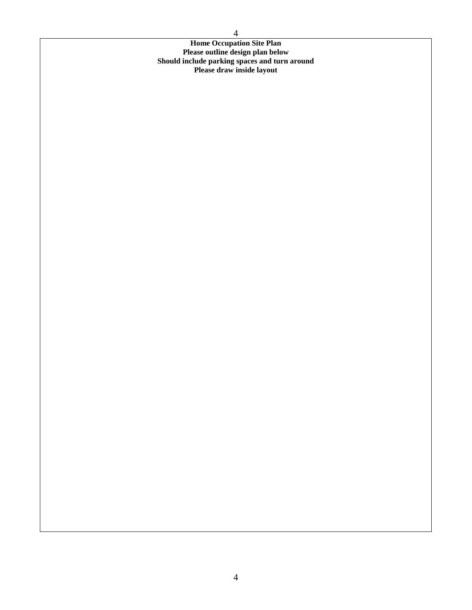**Home Occupation Site Plan Please outline design plan below Should include parking spaces and turn around Please draw inside layout**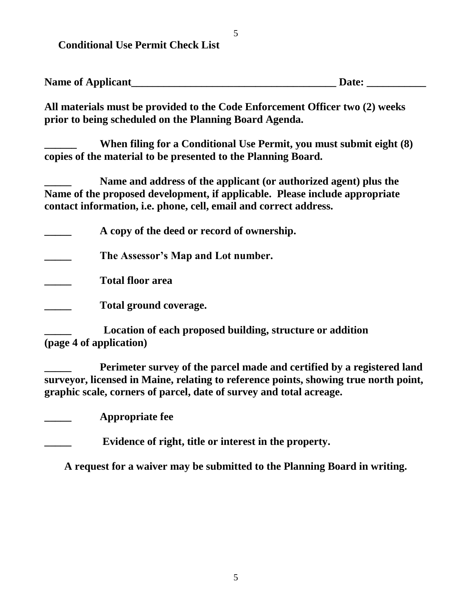**Conditional Use Permit Check List**

| <b>Name of Applicant</b> | Date: |  |
|--------------------------|-------|--|
|                          |       |  |

**All materials must be provided to the Code Enforcement Officer two (2) weeks prior to being scheduled on the Planning Board Agenda.**

**\_\_\_\_\_\_ When filing for a Conditional Use Permit, you must submit eight (8) copies of the material to be presented to the Planning Board.**

**\_\_\_\_\_ Name and address of the applicant (or authorized agent) plus the Name of the proposed development, if applicable. Please include appropriate contact information, i.e. phone, cell, email and correct address.**

**\_\_\_\_\_ A copy of the deed or record of ownership.**

**\_\_\_\_\_ The Assessor's Map and Lot number.**

**\_\_\_\_\_ Total floor area**

**\_\_\_\_\_ Total ground coverage.**

**\_\_\_\_\_ Location of each proposed building, structure or addition (page 4 of application)**

**\_\_\_\_\_ Perimeter survey of the parcel made and certified by a registered land surveyor, licensed in Maine, relating to reference points, showing true north point, graphic scale, corners of parcel, date of survey and total acreage.**

**\_\_\_\_\_ Appropriate fee**

**\_\_\_\_\_ Evidence of right, title or interest in the property.**

**A request for a waiver may be submitted to the Planning Board in writing.**

5